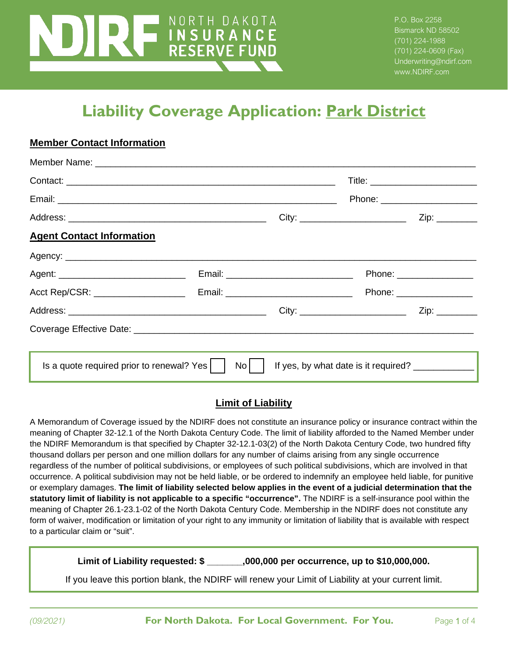# NORTH DAKOTA **EXAMPLE AND RESERVE FUND**

**Member Contact Information**

P.O. Box 2258 Bismarck ND 58502 (701) 224-1988 (701) 224-0609 (Fax) Underwriting@ndirf.com www.NDIRF.com

# **Liability Coverage Application: Park District**

| Member Name: Name: Name: Name: Name: Name: Name: Name: Name: Name: Name: Name: Name: Name: Name: Name: Name: N |                                            |                                                     |                                     |
|----------------------------------------------------------------------------------------------------------------|--------------------------------------------|-----------------------------------------------------|-------------------------------------|
|                                                                                                                |                                            |                                                     |                                     |
|                                                                                                                |                                            |                                                     | Phone: ________________________     |
|                                                                                                                |                                            |                                                     | $Zip: \_\_\_\_\_\_\_\_\_\_\_\_\_\_$ |
| <b>Agent Contact Information</b>                                                                               |                                            |                                                     |                                     |
|                                                                                                                |                                            |                                                     |                                     |
|                                                                                                                |                                            |                                                     | Phone: __________________           |
| Acct Rep/CSR: ___________________                                                                              | Email: ___________________________________ |                                                     | Phone: __________________           |
|                                                                                                                |                                            |                                                     | Zip: ________                       |
|                                                                                                                |                                            |                                                     |                                     |
|                                                                                                                |                                            |                                                     |                                     |
| Is a quote required prior to renewal? Yes $\vert \vert$                                                        | $\overline{N}$ o $\overline{$              | If yes, by what date is it required? ______________ |                                     |

#### **Limit of Liability**

A Memorandum of Coverage issued by the NDIRF does not constitute an insurance policy or insurance contract within the meaning of Chapter 32-12.1 of the North Dakota Century Code. The limit of liability afforded to the Named Member under the NDIRF Memorandum is that specified by Chapter 32-12.1-03(2) of the North Dakota Century Code, two hundred fifty thousand dollars per person and one million dollars for any number of claims arising from any single occurrence regardless of the number of political subdivisions, or employees of such political subdivisions, which are involved in that occurrence. A political subdivision may not be held liable, or be ordered to indemnify an employee held liable, for punitive or exemplary damages. **The limit of liability selected below applies in the event of a judicial determination that the statutory limit of liability is not applicable to a specific "occurrence".** The NDIRF is a self-insurance pool within the meaning of Chapter 26.1-23.1-02 of the North Dakota Century Code. Membership in the NDIRF does not constitute any form of waiver, modification or limitation of your right to any immunity or limitation of liability that is available with respect to a particular claim or "suit".

**Limit of Liability requested: \$ \_\_\_\_\_\_\_,000,000 per occurrence, up to \$10,000,000.**

If you leave this portion blank, the NDIRF will renew your Limit of Liability at your current limit.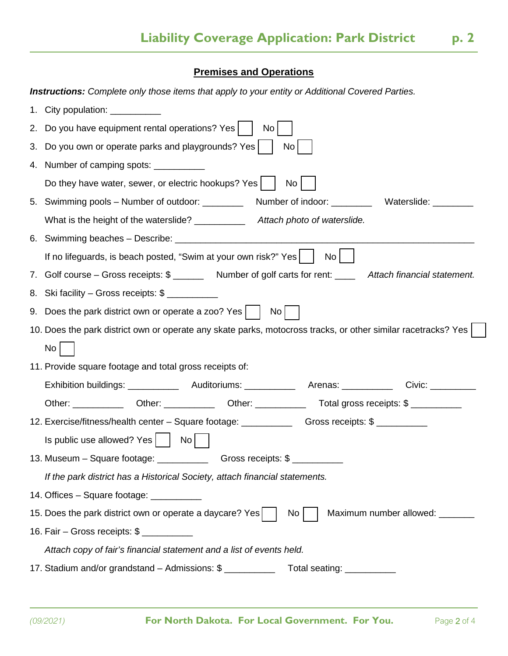## **Premises and Operations**

 $\overline{a}$ 

|  |  |  | <b>Instructions:</b> Complete only those items that apply to your entity or Additional Covered Parties. |
|--|--|--|---------------------------------------------------------------------------------------------------------|
|--|--|--|---------------------------------------------------------------------------------------------------------|

|                                                                                                   | City population: ___________                                                                                  |  |  |  |  |
|---------------------------------------------------------------------------------------------------|---------------------------------------------------------------------------------------------------------------|--|--|--|--|
| 2.                                                                                                | Do you have equipment rental operations? Yes  <br>No.                                                         |  |  |  |  |
| 3.                                                                                                | Do you own or operate parks and playgrounds? Yes<br>No                                                        |  |  |  |  |
|                                                                                                   | 4. Number of camping spots: ___________                                                                       |  |  |  |  |
|                                                                                                   | Do they have water, sewer, or electric hookups? Yes<br>No                                                     |  |  |  |  |
| 5.                                                                                                | Swimming pools – Number of outdoor: _____________ Number of indoor: ____________ Waterslide: _______          |  |  |  |  |
|                                                                                                   | What is the height of the waterslide? _____________ Attach photo of waterslide.                               |  |  |  |  |
|                                                                                                   |                                                                                                               |  |  |  |  |
|                                                                                                   | If no lifeguards, is beach posted, "Swim at your own risk?" Yes  <br>No <sub>1</sub>                          |  |  |  |  |
|                                                                                                   | 7. Golf course – Gross receipts: \$ _______ Number of golf carts for rent: ____ Attach financial statement.   |  |  |  |  |
|                                                                                                   | 8. Ski facility – Gross receipts: \$                                                                          |  |  |  |  |
|                                                                                                   | 9. Does the park district own or operate a zoo? Yes  <br>No                                                   |  |  |  |  |
|                                                                                                   | 10. Does the park district own or operate any skate parks, motocross tracks, or other similar racetracks? Yes |  |  |  |  |
|                                                                                                   | No                                                                                                            |  |  |  |  |
| 11. Provide square footage and total gross receipts of:                                           |                                                                                                               |  |  |  |  |
|                                                                                                   |                                                                                                               |  |  |  |  |
|                                                                                                   |                                                                                                               |  |  |  |  |
|                                                                                                   | 12. Exercise/fitness/health center – Square footage: ____________________________                             |  |  |  |  |
|                                                                                                   | Is public use allowed? Yes     No                                                                             |  |  |  |  |
|                                                                                                   | 13. Museum - Square footage: ________________________Gross receipts: \$ __________                            |  |  |  |  |
|                                                                                                   | If the park district has a Historical Society, attach financial statements.                                   |  |  |  |  |
|                                                                                                   | 14. Offices - Square footage: ___________                                                                     |  |  |  |  |
| 15. Does the park district own or operate a daycare? Yes<br>Maximum number allowed: _______<br>No |                                                                                                               |  |  |  |  |
|                                                                                                   |                                                                                                               |  |  |  |  |
|                                                                                                   | Attach copy of fair's financial statement and a list of events held.                                          |  |  |  |  |
|                                                                                                   | 17. Stadium and/or grandstand - Admissions: \$<br>Total seating: ___________                                  |  |  |  |  |
|                                                                                                   |                                                                                                               |  |  |  |  |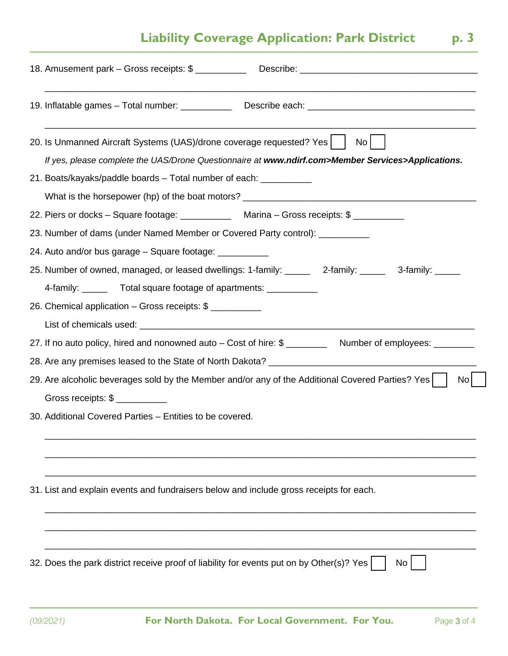## **Liability Coverage Application: Park District p. 3**

| 19. Inflatable games - Total number: _______________ Describe each: ________________________________                                                                                                                                   |
|----------------------------------------------------------------------------------------------------------------------------------------------------------------------------------------------------------------------------------------|
| 20. Is Unmanned Aircraft Systems (UAS)/drone coverage requested? Yes  <br>No<br>If yes, please complete the UAS/Drone Questionnaire at www.ndirf.com>Member Services>Applications.                                                     |
| 21. Boats/kayaks/paddle boards – Total number of each: ____________                                                                                                                                                                    |
| 22. Piers or docks - Square footage: _______________ Marina - Gross receipts: \$<br>23. Number of dams (under Named Member or Covered Party control): ____________                                                                     |
| 24. Auto and/or bus garage – Square footage: ___________<br>25. Number of owned, managed, or leased dwellings: 1-family: ______ 2-family: _____ 3-family: _____<br>4-family: ________ Total square footage of apartments: ____________ |
| 26. Chemical application - Gross receipts: \$                                                                                                                                                                                          |
| 27. If no auto policy, hired and nonowned auto – Cost of hire: \$ ____________ Number of employees: _______                                                                                                                            |
| 29. Are alcoholic beverages sold by the Member and/or any of the Additional Covered Parties? Yes<br>No <sub>l</sub><br>30. Additional Covered Parties - Entities to be covered.                                                        |
| 31. List and explain events and fundraisers below and include gross receipts for each.                                                                                                                                                 |
| 32. Does the park district receive proof of liability for events put on by Other(s)? Yes<br>No                                                                                                                                         |